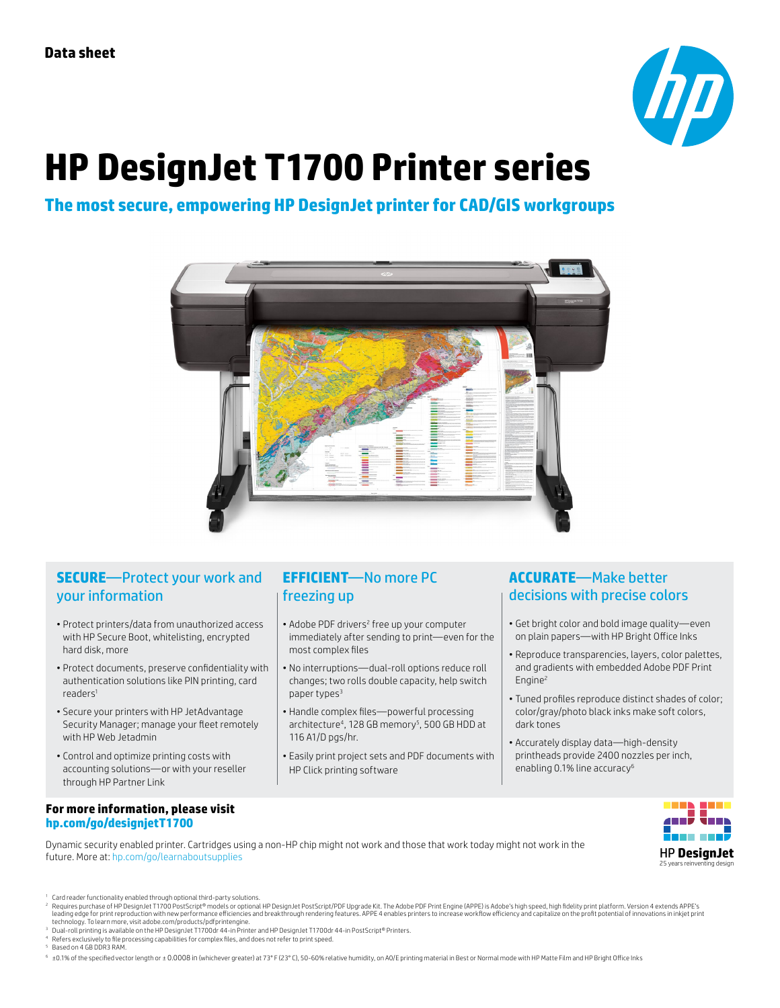

# **HP DesignJet T1700 Printer series**

## **The most secure, empowering HP DesignJet printer for CAD/GIS workgroups**



#### **SECURE**—Protect your work and your information

- Protect printers/data from unauthorized access with HP Secure Boot, whitelisting, encrypted hard disk, more
- Protect documents, preserve confidentiality with authentication solutions like PIN printing, card readers1
- Secure your printers with HP JetAdvantage Security Manager; manage your fleet remotely with HP Web Jetadmin
- Control and optimize printing costs with accounting solutions—or with your reseller through HP Partner Link

#### **For more information, please visit [hp.com/go/designjetT](http://hp.com/go/designjetT1700)1700**

**EFFICIENT**—No more PC freezing up

- Adobe PDF drivers<sup>2</sup> free up your computer immediately after sending to print—even for the most complex files
- No interruptions—dual-roll options reduce roll changes; two rolls double capacity, help switch paper types<sup>3</sup>
- Handle complex files—powerful processing architecture<sup>4</sup>, 128 GB memory<sup>5</sup>, 500 GB HDD at 116 A1/D pgs/hr.
- Easily print project sets and PDF documents with HP Click printing software

#### **ACCURATE**—Make better decisions with precise colors

- Get bright color and bold image quality—even on plain papers—with HP Bright Office Inks
- Reproduce transparencies, layers, color palettes, and gradients with embedded Adobe PDF Print Engine2
- Tuned profiles reproduce distinct shades of color; color/gray/photo black inks make soft colors, dark tones
- Accurately display data—high-density printheads provide 2400 nozzles per inch, enabling 0.1% line accuracy<sup>6</sup>

Dynamic security enabled printer. Cartridges using a non-HP chip might not work and those that work today might not work in the future. More at: [hp.com/go/learnaboutsupplies](http://hp.com/go/learnaboutsupplies)



- <sup>1</sup> Card reader functionality enabled through optional third-party solutions.<br>? Requires purchase of HP DesignJet ™ novels or optional HP DesignJet PostScript/PDF Upgrade Kit. The Adobe PDF Print Engine (APPE) is Adobe's technology. To learn more, visit adobe.com/products/pdfprintengine.
- <sup>3</sup> Dual-roll printing is available on the HP DesignJet T1700dr 44-in Printer and HP DesignJet T1700dr 44-in PostScript® Printers.
- <sup>4</sup> Refers exclusively to file processing capabilities for complex files, and does not refer to print speed.
- <sup>5</sup> Based on 4 GB DDR3 RAM.

<sup>6</sup> ±0.1% of the specified vector length or ± 0.0008 in (whichever greater) at 73° F (23° C), 50-60% relative humidity, on A0/E printing material in Best or Normal mode with HP Matte Film and HP Bright Office Inks